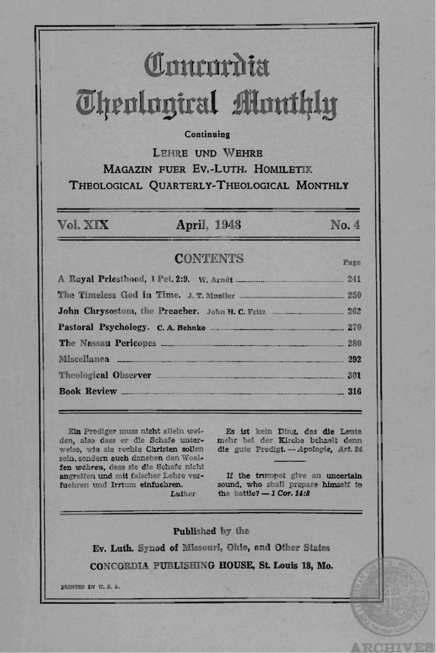# Comrordia *<u>Uhenlugiral Monthly</u>*

### **Continuing**

LEHRE UND WEHRE MAGAZIN FUER Ev.-LuTH. HOMILETIK THEOLOGICAL QUARTERLY-THEOLOGICAL MONTHLY

### Vol. XIX April, 1948 No. 4

### CONTENTS Page

A Royal Priesthood, 1 Pet. 2:9. W. Arndt .\_ .......... ............ \_ .................. \_ 241 The Timeless God in Time. J. T. Mueller \_\_\_\_\_\_\_\_\_\_ 250 John Chrysostom, the Preacher. John H. C. Fritz .\_ ........ \_ .......... \_ ..•... 262 Pastoral PsychololO·. C. A. Behnke . .......... \_\_\_\_\_\_\_ .. \_\_\_\_\_\_\_ .\_. \_\_\_\_\_ ...... \_ .. \_ ... \_ 270 The Nassau Peri copes \_\_\_ .\_ .. \_\_\_\_\_\_\_ . \_\_\_ .. \_\_\_\_\_ .. \_. \_\_\_ .. \_\_ ... \_\_\_ . \_\_\_ \_ .\_ \_\_\_\_\_\_\_\_\_\_ \_\_ \_\_\_\_\_\_ 280 Miscellanea \_\_\_\_ .. \_ .. \_\_ \_\_ .. \_ ...... \_. \_\_ ..... \_\_ ........ \_\_\_\_ .\_. \_\_\_\_\_\_\_\_\_\_ \_ .. \_ \_\_ \_\_\_\_\_\_ \_\_ . \_\_ .\_ 292 Theological Observer ---.. -.... -.--\_\_\_ .\_.\_.\_ .... \_. \_\_\_\_\_\_ .... \_ .. \_\_\_ . \_\_ \_\_\_ . \_\_ ........ \_\_\_\_\_ \_ 301 Book Review .. \_ ........... \_. . .... \_\_ ...................... \_. \_\_ .... \_. \_\_\_\_\_ .... , \_\_ \_\_\_ ' \_ \_\_ 316

Ein Prediger muss nicht allein *weiden*, also dass er die Schafe unter-<br>weise, wie sie rechte Christen sollen sein, sondern auch daneben den Woelfen wehren, dass sie die Schafe nicht angreiten und mit falscher Lehre verfuehren und Irrtum elnfuehren. *Luther* 

Es ist kein Ding, das die Leute mehr bei der Kirche behaelt denn die gute Predigt. - *Apologie*, Art. 24

If the trumpet give an uncertain sound, who shall prepare himself to the battle?  $-1$  Cor. 14:8

Published by the

Ev. Luth. Synod of Missouri, Ohio, and Other States

CONCORDIA PUBLISHING HOUSE, St. Louis 18, Mo.

pRINTED IN U.S.A.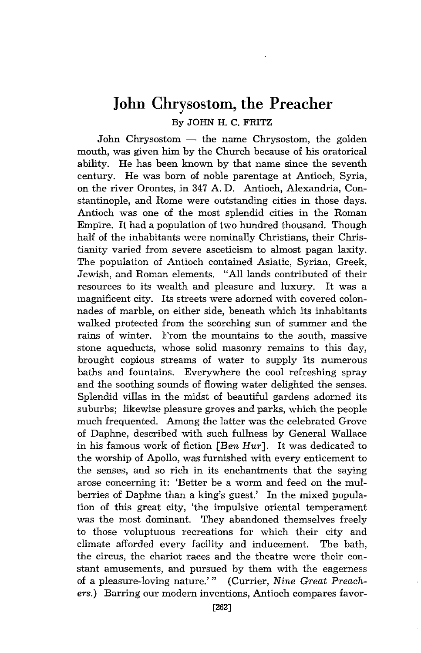## **John Chrysostom, the Preacher**  By JOHN H. C. FRITZ

John Chrysostom  $-$  the name Chrysostom, the golden mouth, was given him by the Church because of his oratorical ability. He has been known by that name since the seventh century. He was born of noble parentage at Antioch, Syria, on the river Orontes, in 347 A. D. Antioch, Alexandria, Constantinople, and Rome were outstanding cities in those days. Antioch was one of the most splendid cities in the Roman Empire. It had a population of two hundred thousand. Though half of the inhabitants were nominally Christians, their Christianity varied from severe asceticism to almost pagan laxity. The population of Antioch contained Asiatic, Syrian, Greek, Jewish, and Roman elements. "All lands contributed of their resources to its wealth and pleasure and luxury. It was a magnificent city. Its streets were adorned with covered colonnades of marble, on either side, beneath which its inhabitants walked protected from the scorching sun of summer and the rains of winter. From the mountains to the south, massive stone aqueducts, whose solid masonry remains to this day, brought copious streams of water to supply its numerous baths and fountains. Everywhere the cool refreshing spray and the soothing sounds of flowing water delighted the senses. Splendid villas in the midst of beautiful gardens adorned its suburbs; likewise pleasure groves and parks, which the people much frequented. Among the latter was the celebrated Grove of Daphne, described with such fullness by General Wallace in his famous work of fiction *[Ben Hur].* It was dedicated to the worship of Apollo, was furnished with every enticement to the senses, and so rich in its enchantments that the saying arose concerning it: 'Better be a worm and feed on the mulberries of Daphne than a king's guest.' In the mixed population of this great city, 'the impulsive oriental temperament was the most dominant. They abandoned themselves freely to those voluptuous recreations for which their city and climate afforded every facility and inducement. The bath, the circus, the chariot races and the theatre were their constant amusements, and pursued by them with the eagerness of a pleasure-loving nature.''' (Currier, *Nine Great Preachers.)* Barring our modern inventions, Antioch compares favor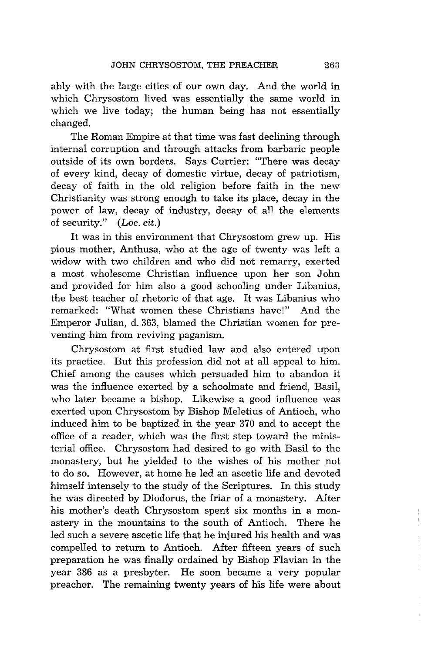ably with the large cities of our own day. And the world in which Chrysostom lived was essentially the same world in which we live today; the human being has not essentially changed.

The Roman Empire at that time was fast declining through internal corruption and through attacks from barbaric people outside of its own borders. Says Currier: "There was decay of every kind, decay of domestic virtue, decay of patriotism, decay of faith in the old religion before faith in the new Christianity was strong enough to take its place, decay in the power of law, decay of industry, decay of all the elements of security." (Loc. cit.)

It was in this environment that Chrysostom grew up. His pious mother, Anthusa, who at the age of twenty was left a widow with two children and who did not remarry, exerted a most wholesome Christian influence upon her son John and provided for him also a good schooling under Libanius, the best teacher of rhetoric of that age. It was Libanius who remarked: "What women these Christians have!" And the Emperor Julian, d.363, blamed the Christian women for preventing him from reviving paganism.

Chrysostom at first studied law and also entered upon its practice. But this profession did not at all appeal to him. Chief among the causes which persuaded him to abandon it was the influence exerted by a schoolmate and friend, Basil, who later became a bishop. Likewise a good influence was exerted upon Chrysostom by Bishop Meletius of Antioch, who induced him to be baptized in the year 370 and to accept the office of a reader, which was the first step toward the ministerial office. Chrysostom had desired to go with Basil to the monastery, but he yielded to the wishes of his mother not to do so. However, at home he led an ascetic life and devoted himself intensely to the study of the Scriptures. In this study he was directed by Diodorus, the friar of a monastery. After his mother's death Chrysostom spent six months in a monastery in the mountains to the south of Antioch. There he led such a severe ascetic life that he injured his health and was compelled to return to Antioch. After fifteen years of such preparation he was finally ordained by Bishop Flavian in the year 386 as a presbyter. He soon became a very popular preacher. The remaining twenty years of his life were about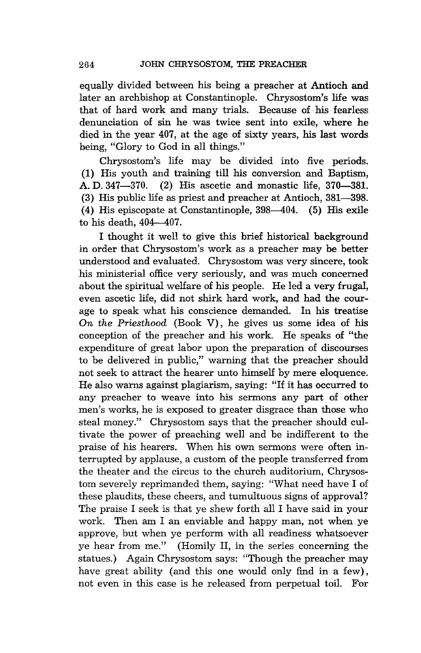equally divided between his being a preacher at Antioch and later an archbishop at Constantinople. Chrysostom's life was that of hard work and many trials. Because of his fearless denunciation of sin he was twice sent into exile, where he died in the year 407, at the age of sixty years, his last words being, "Glory to God in all things."

Chrysostom's life may be divided into five periods. (1) His youth and training till his conversion and Baptism, A. D. 347-370. (2) His ascetic and monastic life, 370-381. (3) His public life as priest and preacher at Antioch,  $381-398$ . (4) His episcopate at Constantinople, 398-404. (5) His exile to his death,  $404-407$ .

I thought it well to give this brief historical background in order that Chrysostom's work as a preacher may be better understood and evaluated. Chrysostom was very sincere, took his ministerial office very seriously, and was much concerned about the spiritual welfare of his people. He led a very frugal, even ascetic life, did not shirk hard work, and had the courage to speak what his conscience demanded. In his treatise *On the Priesthood* (Book V), he gives us some idea of his conception of the preacher and his work. He speaks of "the expenditure of great labor upon the preparation of discourses to be delivered in public," warning that the preacher should not seek to attract the hearer unto himself by mere eloquence. He also warns against plagiarism, saying: "If it has occurred to any preacher to weave into his sermons any part of other men's works, he is exposed to greater disgrace than those who steal money." Chrysostom says that the preacher should cultivate the power of preaching well and be indifferent to the praise of his hearers. When his own sermons were often interrupted by applause, a custom of the people transferred from the theater and the circus to the church auditorium, Chrysostom severely reprimanded them, saying: "What need have I of these plaudits, these cheers, and tumultuous signs of approval? The praise I seek is that ye shew forth all I have said in your work. Then am I an enviable and happy man, not when ye approve, but when ye perform with all readiness whatsoever ye hear from me." (Homily II, in the series concerning the statues.) Again Chrysostom says: "Though the preacher may have great ability (and this one would only find in a few), not even in this case is he released from perpetual toil. For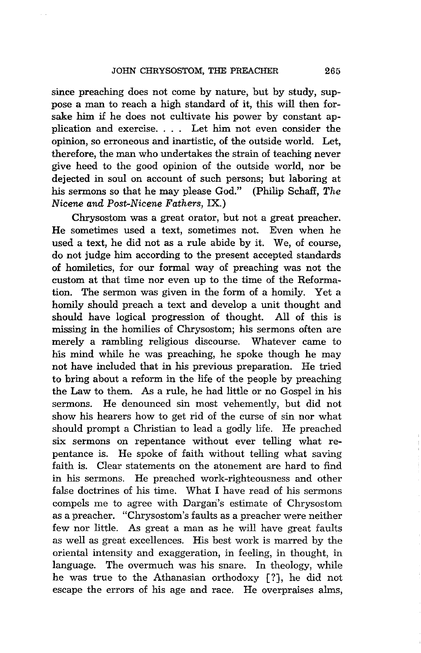since preaching does not come by nature, but by study, suppose a man to reach a high standard of it, this will then forsake him if he does not cultivate his power by constant application and exercise. . .. Let him not even consider the opinion, so erroneous and inartistic, of the outside world. Let, therefore, the man who undertakes the strain of teaching never give heed to the good opinion of the outside world, nor be dejected in soul on account of such persons; but laboring at his sermons so that he may please God." (Philip Schaff, *The Nicene and Post-Nicene Fathers,* IX.)

Chrysostom was a great orator, but not a great preacher. He sometimes used a text, sometimes not. Even when he used a text, he did not as a rule abide by it. We, of course, do not judge him according to the present accepted standards of homiletics, for our formal way of preaching was not the custom at that time nor even up to the time of the Reformation. The sermon was given in the form of a homily. Yet a homily should preach a text and develop a unit thought and should have logical progression of thought. All of this is missing in the homilies of Chrysostom; his sermons often are merely a rambling religious discourse. Whatever came to his mind while he was preaching, he spoke though he may not have included that in his previous preparation. He tried to bring about a reform in the life of the people by preaching the Law to them. As a rule, he had little or no Gospel in his sermons. He denounced sin most vehemently, but did not show his hearers how to get rid of the curse of sin nor what should prompt a Christian to lead a godly life. He preached six sermons on repentance without ever telling what repentance is. He spoke of faith without telling what saving faith is. Clear statements on the atonement are hard to find in his sermons. He preached work-righteousness and other false doctrines of his time. What I have read of his sermons compels me to agree with Dargan's estimate of Chrysostom as a preacher. "Chrysostom's faults as a preacher were neither few nor little. As great a man as he will have great faults as well as great excellences. His best work is marred by the oriental intensity and exaggeration, in feeling, in thought, in language. The overmuch was his snare. In theology, while he was true to the Athanasian orthodoxy [?J, he did not escape the errors of his age and race. He overpraises alms,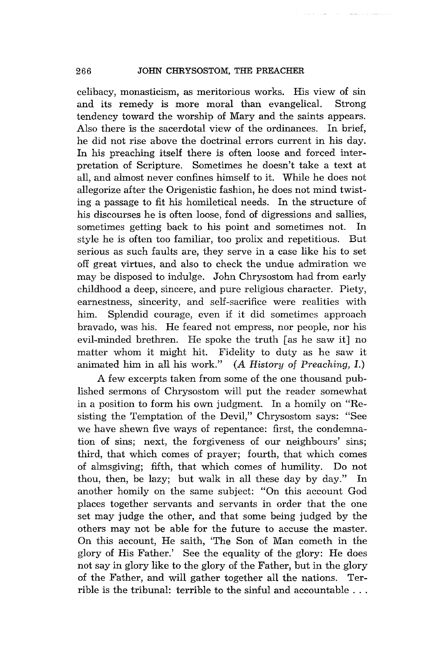### 266 JOHN CHRYSOSTOM, THE PREACHER

celibacy, monasticism, as meritorious works. His view of sin and its remedy is more moral than evangelical. Strong tendency toward the worship of Mary and the saints appears. Also there is the sacerdotal view of the ordinances. In brief, he did not rise above the doctrinal errors current in his day. In his preaching itself there is often loose and forced interpretation of Scripture. Sometimes he doesn't take a text at all, and almost never confines himself to it. While he does not allegorize after the Origenistic fashion, he does not mind twisting a passage to fit his homiletical needs. In the structure of his discourses he is often loose, fond of digressions and sallies, sometimes getting back to his point and sometimes not. In style he is often too familiar, too prolix and repetitious. But serious as such faults are, they serve in a case like his to set off great virtues, and also to check the undue admiration we may be disposed to indulge. John Chrysostom had from early childhood a deep, sincere, and pure religious character. Piety, earnestness, sincerity, and self-sacrifice were realities with him. Splendid courage, even if it did sometimes approach bravado, was his. He feared not empress, nor people, nor his evil-minded brethren. He spoke the truth [as he saw it] no matter whom it might hit. Fidelity to duty as he saw it animated him in all his work." *(A History* of *Preaching, I.)* 

A few excerpts taken from some of the one thousand published sermons of Chrysostom will put the reader somewhat in a position to form his own judgment. In a homily on "Resisting the Temptation of the Devil," Chrysostom says: "See we have shewn five ways of repentance: first, the condemnation of sins; next, the forgiveness of our neighbours' sins; third, that which comes of prayer; fourth, that which comes of almsgiving; fifth, that which comes of humility. Do not thou, then, be lazy; but walk in all these day by day." In another homily on the same subject: "On this account God places together servants and servants in order that the one set may judge the other, and that some being judged by the others may not be able for the future to accuse the master. On this account, He saith, 'The Son of Man cometh in the glory of His Father.' See the equality of the glory: He does not say in glory like to the glory of the Father, but in the glory of the Father, and will gather together all the nations. Terrible is the tribunal: terrible to the sinful and accountable ...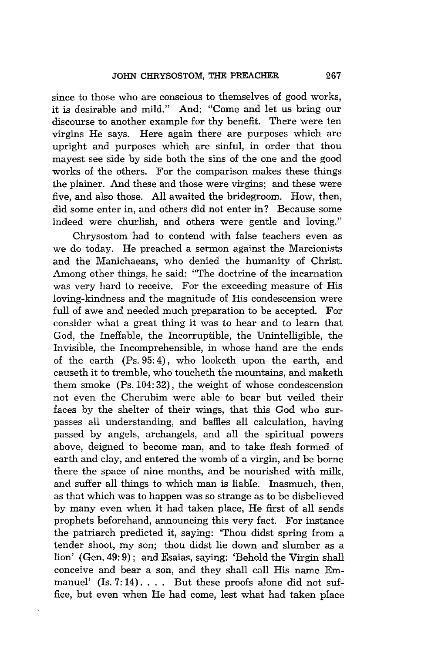since to those who are conscious to themselves of good works, it is desirable and mild." And: "Come and let us bring our discourse to another example for thy benefit. There were ten virgins He says. Here again there are purposes which are upright and purposes which are sinful, in order that thou may est see side by side both the sins of the one and the good works of the others. For the comparison makes these things the plainer. And these and those were virgins; and these were five, and also those. All awaited the bridegroom. How, then, did some enter in, and others did not enter *in?* Because some indeed were churlish, and others were gentle and loving."

Chrysostom had to contend with false teachers even as we do today. He preached a sermon against the Marcionists and the Manichaeans, who denied the humanity of Christ. Among other things, he said: "The doctrine of the incarnation was very hard to receive. For the exceeding measure of His loving-kindness and the magnitude of His condescension were full of awe and needed much preparation to be accepted. For consider what a great thing it was to hear and to learn that God, the Ineffable, the Incorruptible, the Unintelligible, the Invisible, the Incomprehensible, in whose hand are the ends of the earth (Ps. 95: 4), who looketh upon the earth, and causeth it to tremble, who toucheth the mountains, and maketh them smoke (Ps. 104: 32), the weight of whose condescension not even the Cherubim were able to bear but veiled their faces by the shelter of their wings, that this God who surpasses all understanding, and baffles all calculation, having passed by angels, archangels, and all the spiritual powers above, deigned to become man, and to take flesh formed of earth and clay, and entered the womb of a virgin, and be borne there the space of nine months, and be nourished with milk, and suffer all things to which man is liable. Inasmuch, then, as that which was to happen was so strange as to be disbelieved by many even when it had taken place, He first of all sends prophets beforehand, announcing this very fact. For instance the patriarch predicted it, saying: 'Thou didst spring from a tender shoot, my son; thou didst lie down and slumber as a lion' (Gen. 49: 9); and Esaias, saying: 'Behold the Virgin shall conceive and bear a son, and they shall call His name Emmanuel' (Is. 7:14).... But these proofs alone did not suffice, but even when He had come, lest what had taken place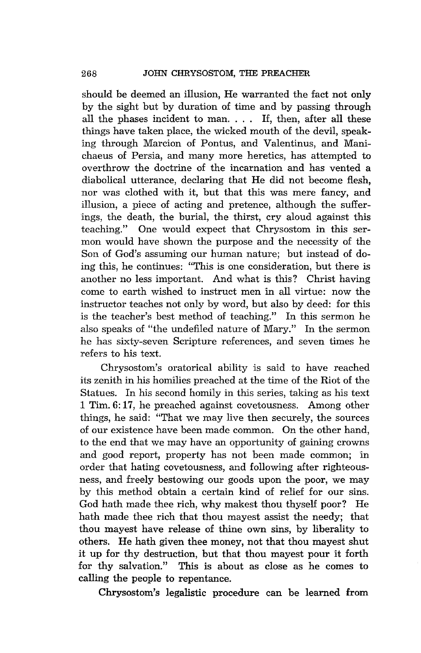should be deemed an illusion, He warranted the fact not only by the sight but by duration of time and by passing through all the phases incident to man. . .. If, then, after all these things have taken place, the wicked mouth of the devil, speaking through Marcion of Pontus, and Valentinus, and Manichaeus of Persia, and many more heretics, has attempted to overthrow the doctrine of the incarnation and has vented a diabolical utterance, declaring that He did not become flesh, nor was clothed with it, but that this was mere fancy, and illusion, a piece of acting and pretence, although the suffer-Ings, the death, the burial, the thirst, cry aloud against this teaching." One would expect that Chrysostom in this sermon would have shown the purpose and the necessity of the Son of God's assuming our human nature; but instead of doing this, he continues: "This is one consideration, but there is another no less important. And what is this? Christ having come to earth wished to instruct men 'in all virtue: now the instructor teaches not only by word, but also by deed: for this is the teacher's best method of teaching." In this sermon he also speaks of "the undefiled nature of Mary." In the sermon he has sixty-seven Scripture references, and seven times he refers to his text.

Chrysostom's oratorical ability is said to have reached its zenith in his homllies preached at the time of the Riot of the Statues. In his second homily in this series, taking as his text 1 Tim. 6: 17, he preached against covetousness. Among other things, he said: "That we may live then securely, the sources of our existence have been made common. On the other hand, to the end that we may have an opportunity of gaining crowns and good report, property has not been made common; in order that hating covetousness, and following after righteousness, and freely bestowing our goods upon the poor, we may by this method obtain a certain kind of relief for our sins. God hath made thee rich, why makest thou thyself poor? He hath made thee rich that thou mayest assist the needy; that thou mayest have release of thine own sins, by liberality to others. He hath given thee money, not that thou mayest shut it up for thy destruction, but that thou mayest pour it forth for thy salvation." This is about as close as he comes to calling the people to repentance.

Chrysostom's legalistic procedure can be learned from